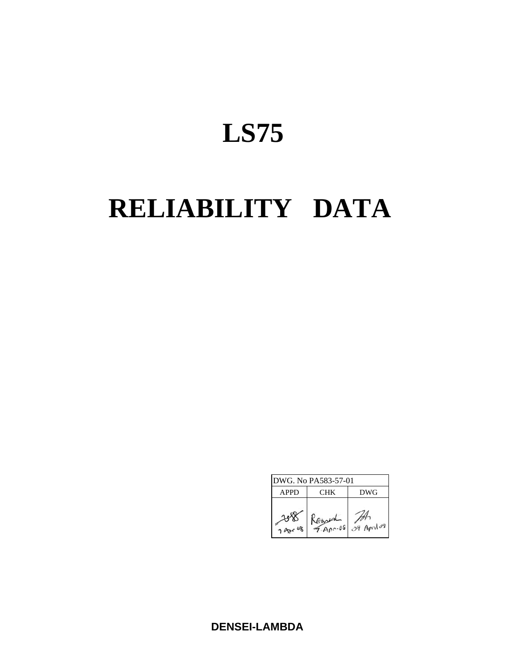# **LS75**

# **RELIABILITY DATA**

| DWG. No PA583-57-01 |            |               |  |  |  |
|---------------------|------------|---------------|--|--|--|
| <b>APPD</b>         | <b>CHK</b> | DWG           |  |  |  |
| 7 Apr               | A00.08     | $07$ April 09 |  |  |  |

**DENSEI-LAMBDA**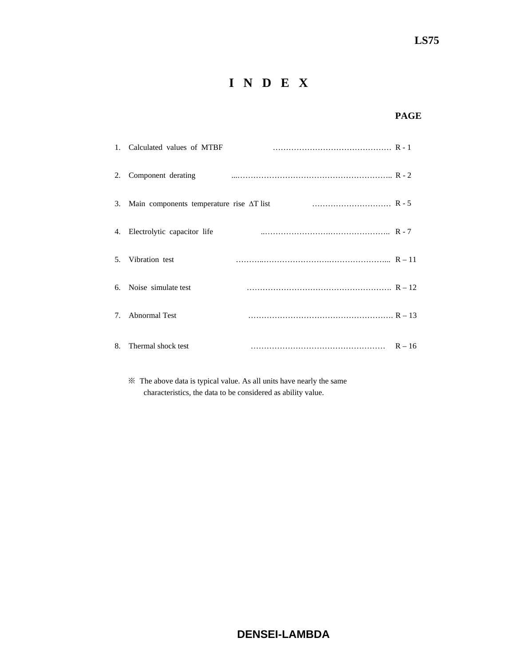# **I N D E X**

## **PAGE**

|                                  | 1. Calculated values of MTBF                     |          |
|----------------------------------|--------------------------------------------------|----------|
| 2.                               | Component derating                               |          |
| 3.                               | Main components temperature rise $\Delta T$ list |          |
|                                  | 4. Electrolytic capacitor life                   |          |
|                                  | 5. Vibration test                                |          |
|                                  | 6. Noise simulate test                           |          |
| $7_{\scriptscriptstyle{\ddots}}$ | <b>Abnormal Test</b>                             |          |
| 8.                               | Thermal shock test                               | $R - 16$ |

 ※ The above data is typical value. As all units have nearly the same characteristics, the data to be considered as ability value.

# **DENSEI-LAMBDA**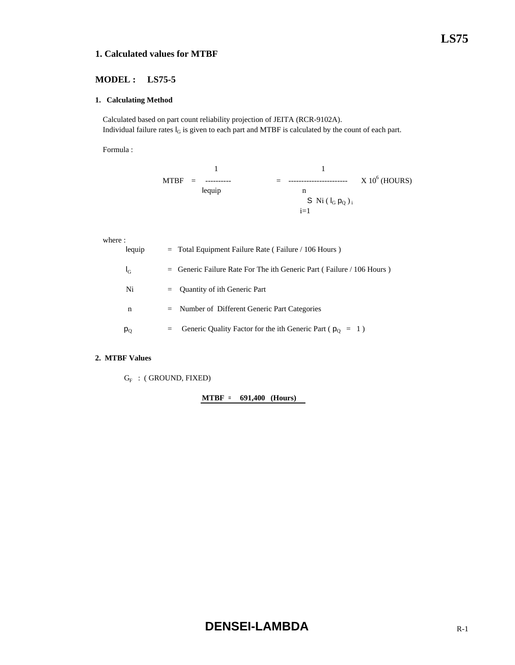#### **1. Calculated values for MTBF**

#### **MODEL : LS75-5**

#### **1. Calculating Method**

 Calculated based on part count reliability projection of JEITA (RCR-9102A). Individual failure rates  $I_G$  is given to each part and MTBF is calculated by the count of each part.

Formula :

$$
MTBF = \frac{1}{\text{leq } \text{leq } \text{leq } \text{leq } \text{leq } \text{leq } \text{leq } \text{leq } \text{leq } \text{leq } \text{leq } \text{leq } \text{leq } \text{leq } \text{leq } \text{leq } \text{leq } \text{leq } \text{leq } \text{leq } \text{leq } \text{leq } \text{leq } \text{leq } \text{leq } \text{leq } \text{leq } \text{leq } \text{leq } \text{leq } \text{leq } \text{leq } \text{leq } \text{leq } \text{leq } \text{leq } \text{leq } \text{leq } \text{leq } \text{leq } \text{leq } \text{leq } \text{leq } \text{leq } \text{leq } \text{leq } \text{leq } \text{leq } \text{leq } \text{leq } \text{leq } \text{leq } \text{leq } \text{leq } \text{leq } \text{leq } \text{leq } \text{leq } \text{leq } \text{leq } \text{leq } \text{leq } \text{leq } \text{leq } \text{leq } \text{leq } \text{leq } \text{leq } \text{leq } \text{leq } \text{leq } \text{leq } \text{leq } \text{leq } \text{leq } \text{leq } \text{leq } \text{leq } \text{leq } \text{leq } \text{leq } \text{leq } \text{leq } \text{leq } \text{leq } \text{leq } \text{leq } \text{leq } \text{leq } \text{leq } \text{leq } \text{leq } \text{leq } \text{leq } \text{leq } \text{leq } \text{leq } \text{leq } \text{leq } \text{leq } \text{leq } \text{leq } \text{leq } \text{leq } \text{leq } \text{leq } \text{leq } \text{leq } \text{leq } \text{leq } \text{leq } \text{leq } \text{leq } \text{leq } \text{leq } \text{leq } \text{leq } \text{leq } \text{leq } \text{leq } \text{leq } \text{leq } \text{leq } \text{leq } \text{leq } \
$$

where :

| lequip  | $=$ Total Equipment Failure Rate (Failure / 106 Hours)                   |
|---------|--------------------------------------------------------------------------|
| $I_{G}$ | $=$ Generic Failure Rate For The ith Generic Part (Failure / 106 Hours)  |
| Ni      | $=$ Quantity of ith Generic Part                                         |
| n       | $=$ Number of Different Generic Part Categories                          |
| $p_{O}$ | Generic Quality Factor for the ith Generic Part ( $p_0 = 1$ )<br>$=$ $-$ |

#### **2. MTBF Values**

 $G_F$  : (GROUND, FIXED)

**MTBF = 691,400 (Hours)**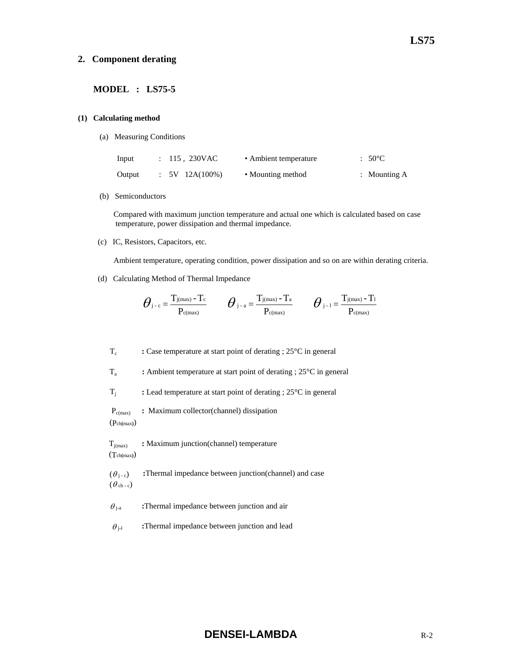#### **2. Component derating**

#### **MODEL : LS75-5**

#### **(1) Calculating method**

(a) Measuring Conditions

| Input  | : 115, 230VAC  | • Ambient temperature | $:50^{\circ}$ C |
|--------|----------------|-----------------------|-----------------|
| Output | $5V$ 12A(100%) | • Mounting method     | : Mounting $A$  |

(b) Semiconductors

 Compared with maximum junction temperature and actual one which is calculated based on case temperature, power dissipation and thermal impedance.

(c) IC, Resistors, Capacitors, etc.

Ambient temperature, operating condition, power dissipation and so on are within derating criteria.

(d) Calculating Method of Thermal Impedance

$$
\boldsymbol{\theta}_{\text{j-c}}\!=\!\frac{T_{\text{j}(max)}-T_{\text{c}}}{P_{\text{c}(max)}}\qquad \boldsymbol{\theta}_{\text{j-a}}\!=\!\frac{T_{\text{j}(max)}-T_{\text{a}}}{P_{\text{c}(max)}}\qquad \boldsymbol{\theta}_{\text{j-1}}\!=\!\frac{T_{\text{j}(max)}-T_{\text{1}}}{P_{\text{c}(max)}}
$$

Tc **:** Case temperature at start point of derating ; 25°C in general

Ta **:** Ambient temperature at start point of derating ; 25°C in general

Tj **:** Lead temperature at start point of derating ; 25°C in general

Pc(max) **:** Maximum collector(channel) dissipation

(Pch**(**max**)**)

**T**<sub>j(max)</sub> : Maximum junction(channel) temperature (Tch**(**max**)**)

 $(\theta_{i-c})$  **:**Thermal impedance between junction(channel) and case  $(\theta_{ch-c})$ 

 $\theta_{j-a}$  **:**Thermal impedance between junction and air

 $\theta_{j-l}$  **:**Thermal impedance between junction and lead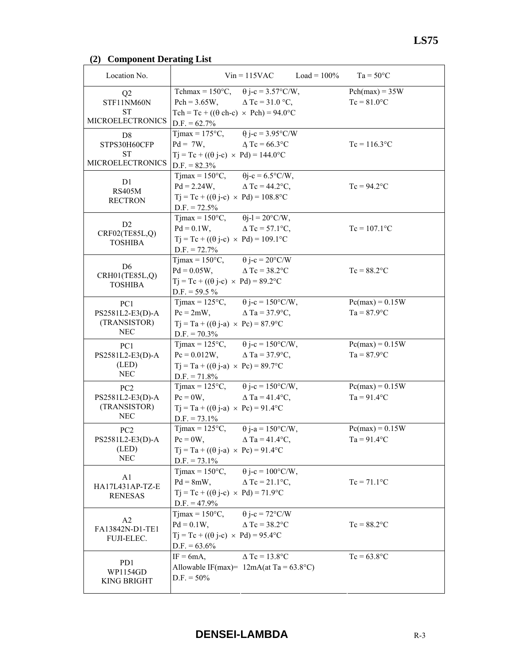# **(2) Component Derating List**

| Location No.                        |                                                                               | $Vin = 115VAC$ $Load = 100\%$ | $Ta = 50^{\circ}C$ |
|-------------------------------------|-------------------------------------------------------------------------------|-------------------------------|--------------------|
| Q2                                  | Tchmax = $150^{\circ}$ C,                                                     | $\theta$ j-c = 3.57°C/W,      | $Pch(max) = 35W$   |
| STF11NM60N                          | $Pch = 3.65W,$                                                                | $\Delta$ Tc = 31.0 °C,        | $Tc = 81.0$ °C     |
| SТ                                  | Tch = Tc + $((\theta \text{ ch-c}) \times \text{Pch}) = 94.0$ °C              |                               |                    |
| <b>MICROELECTRONICS</b>             | $D.F. = 62.7\%$                                                               |                               |                    |
| D <sub>8</sub>                      | $T$ jmax = 175 $\rm{^{\circ}C}$ ,                                             | $\theta$ j-c = 3.95°C/W       |                    |
| STPS30H60CFP                        | $Pd = 7W$ ,                                                                   | $\triangle Tc = 66.3$ °C      | $Tc = 116.3$ °C    |
| <b>ST</b>                           | $Tj = Tc + ((\theta j - c) \times Pd) = 144.0$ °C                             |                               |                    |
| <b>MICROELECTRONICS</b>             | $D.F. = 82.3\%$                                                               |                               |                    |
| D1                                  | $T$ jmax = 150 $\degree$ C,                                                   | $\theta$ j-c = 6.5°C/W,       |                    |
| <b>RS405M</b>                       | $Pd = 2.24W$ ,                                                                | $\triangle$ Tc = 44.2°C,      | $Tc = 94.2$ °C     |
| <b>RECTRON</b>                      | $Tj = Tc + ((\theta j - c) \times Pd) = 108.8$ °C                             |                               |                    |
|                                     | $D.F. = 72.5\%$                                                               |                               |                    |
| D2                                  | Tjmax = $150^{\circ}$ C, $\theta$ j-l = $20^{\circ}$ C/W,                     |                               |                    |
| CRF02(TE85L,Q)                      | $Pd = 0.1W$ ,                                                                 | $\Delta$ Tc = 57.1°C,         | $Tc = 107.1$ °C    |
| <b>TOSHIBA</b>                      | $Tj = Tc + ((\theta j - c) \times Pd) = 109.1$ °C                             |                               |                    |
|                                     | $D.F. = 72.7\%$                                                               |                               |                    |
| D <sub>6</sub>                      | $T$ jmax = 150 $\degree$ C,                                                   | $\theta$ j-c = 20°C/W         |                    |
| CRH01(TE85L,Q)                      | $Pd = 0.05W$ ,                                                                | $\triangle$ Tc = 38.2°C       | $Tc = 88.2$ °C     |
| <b>TOSHIBA</b>                      | $Tj = Tc + ((\theta j - c) \times Pd) = 89.2^{\circ}C$                        |                               |                    |
|                                     | $D.F. = 59.5 \%$                                                              |                               |                    |
| PC1                                 | $T$ jmax = 125 $\textdegree$ C,                                               | $\theta$ j-c = 150°C/W,       | $Pc(max) = 0.15W$  |
| PS2581L2-E3(D)-A<br>(TRANSISTOR)    | $Pc = 2mW$ ,                                                                  | $\triangle$ Ta = 37.9°C,      | $Ta = 87.9$ °C     |
| <b>NEC</b>                          | $Tj = Ta + ((\theta j-a) \times Pc) = 87.9$ °C                                |                               |                    |
|                                     | $D.F. = 70.3\%$<br>Tjmax = $125^{\circ}$ C, $\theta$ j-c = $150^{\circ}$ C/W, |                               | $Pc(max) = 0.15W$  |
| PC <sub>1</sub><br>PS2581L2-E3(D)-A | $Pc = 0.012W$ , $\Delta Ta = 37.9^{\circ}C$ ,                                 |                               | $Ta = 87.9$ °C     |
| (LED)                               | $Tj = Ta + ((\theta j-a) \times Pc) = 89.7^{\circ}C$                          |                               |                    |
| <b>NEC</b>                          | $D.F. = 71.8\%$                                                               |                               |                    |
| PC <sub>2</sub>                     | Tjmax = $125^{\circ}$ C, $\theta$ j-c = $150^{\circ}$ C/W,                    |                               | $Pc(max) = 0.15W$  |
| PS2581L2-E3(D)-A                    | $Pc = 0W$ ,                                                                   | $\Delta$ Ta = 41.4°C,         | $Ta = 91.4$ °C     |
| (TRANSISTOR)                        | $Tj = Ta + ((\theta j - a) \times Pc) = 91.4$ °C                              |                               |                    |
| NEC                                 | $D.F. = 73.1\%$                                                               |                               |                    |
| PC <sub>2</sub>                     | Tjmax = $125^{\circ}$ C, $\theta$ j-a = $150^{\circ}$ C/W,                    |                               | $Pc(max) = 0.15W$  |
| PS2581L2-E3(D)-A                    | $Pc = 0W$ ,                                                                   | $\Delta$ Ta = 41.4°C,         | $Ta = 91.4$ °C     |
| (LED)                               | $Tj = Ta + ((\theta j - a) \times Pc) = 91.4$ °C                              |                               |                    |
| <b>NEC</b>                          | $D.F. = 73.1\%$                                                               |                               |                    |
|                                     | $T$ jmax = 150 $\degree$ C,                                                   | $\theta$ j-c = 100°C/W,       |                    |
| A <sub>1</sub><br>HA17L431AP-TZ-E   | $Pd = 8mW,$                                                                   | $\triangle$ Tc = 21.1°C,      | $Tc = 71.1$ °C     |
| <b>RENESAS</b>                      | $Tj = Tc + ((\theta j - c) \times Pd) = 71.9$ °C                              |                               |                    |
|                                     | $D.F. = 47.9\%$                                                               |                               |                    |
|                                     | $T$ jmax = 150 $\degree$ C,                                                   | $\theta$ j-c = 72°C/W         |                    |
| A <sub>2</sub><br>FA13842N-D1-TE1   | $Pd = 0.1W$ ,                                                                 | $\triangle$ Tc = 38.2°C       | $Tc = 88.2$ °C     |
| FUJI-ELEC.                          | $Tj = Tc + ((\theta j - c) \times Pd) = 95.4$ °C                              |                               |                    |
|                                     | $D.F. = 63.6\%$                                                               |                               |                    |
|                                     | $IF = 6mA,$                                                                   | $\triangle$ Tc = 13.8°C       | $Tc = 63.8$ °C     |
| PD1<br>WP1154GD                     | Allowable IF(max)= $12mA(at Ta = 63.8°C)$                                     |                               |                    |
| KING BRIGHT                         | $D.F. = 50\%$                                                                 |                               |                    |
|                                     |                                                                               |                               |                    |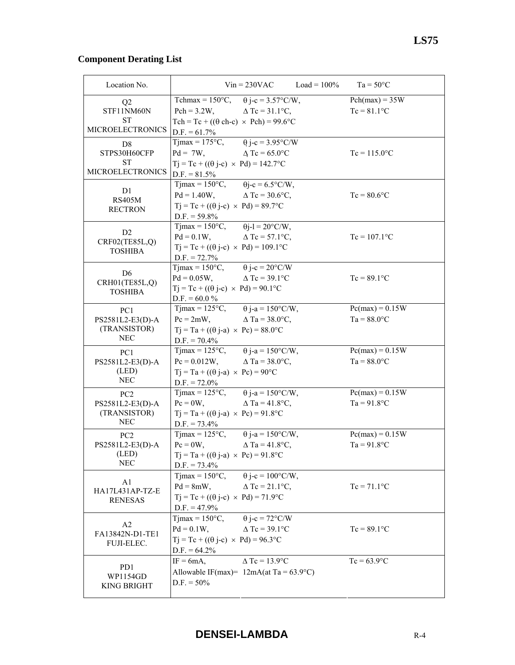# **Component Derating List**

| Location No.            |                                                                             | $Vin = 230VAC$           | $Load = 100\%$ | $Ta = 50^{\circ}C$ |
|-------------------------|-----------------------------------------------------------------------------|--------------------------|----------------|--------------------|
| Q <sub>2</sub>          | Tchmax = $150^{\circ}$ C, $\theta$ j-c = $3.57^{\circ}$ C/W,                |                          |                | $Pch(max) = 35W$   |
| STF11NM60N              | $Pch = 3.2W$ ,                                                              | $\triangle$ Tc = 31.1°C, |                | $Tc = 81.1$ °C     |
| ST                      | Tch = Tc + (( $\theta$ ch-c) $\times$ Pch) = 99.6°C                         |                          |                |                    |
| <b>MICROELECTRONICS</b> | $D.F. = 61.7\%$                                                             |                          |                |                    |
| D <sub>8</sub>          | Tjmax = 175°C, $\theta$ j-c = 3.95°C/W                                      |                          |                |                    |
| STPS30H60CFP            | $Pd = 7W$ ,                                                                 | $\Delta$ Tc = 65.0°C     |                | $Tc = 115.0$ °C    |
| <b>ST</b>               | $Tj = Tc + ((\theta j - c) \times Pd) = 142.7$ °C                           |                          |                |                    |
| <b>MICROELECTRONICS</b> | $D.F. = 81.5\%$                                                             |                          |                |                    |
| D1                      | $T$ jmax = 150 $\degree$ C,                                                 | $\theta$ j-c = 6.5°C/W,  |                |                    |
| <b>RS405M</b>           | $Pd = 1.40W$ , $\Delta Tc = 30.6^{\circ}C$ ,                                |                          |                | $Tc = 80.6$ °C     |
| <b>RECTRON</b>          | $Tj = Tc + ((\theta j - c) \times Pd) = 89.7$ °C                            |                          |                |                    |
|                         | $D.F. = 59.8\%$                                                             |                          |                |                    |
| D2                      | Tjmax = $150^{\circ}$ C, $\theta$ j-l = $20^{\circ}$ C/W,                   |                          |                |                    |
| CRF02(TE85L,Q)          | $Pd = 0.1W$ ,                                                               | $\Delta$ Tc = 57.1°C,    |                | $Tc = 107.1$ °C    |
| <b>TOSHIBA</b>          | $Tj = Tc + ((\theta j - c) \times Pd) = 109.1$ °C                           |                          |                |                    |
|                         | $D.F. = 72.7\%$<br>Tjmax = $150^{\circ}$ C, $\theta$ j-c = $20^{\circ}$ C/W |                          |                |                    |
| D <sub>6</sub>          |                                                                             | $\triangle$ Tc = 39.1°C  |                |                    |
| CRH01(TE85L,Q)          | $Pd = 0.05W$ ,<br>$Tj = Tc + ((\theta j - c) \times Pd) = 90.1$ °C          |                          |                | $Tc = 89.1$ °C     |
| <b>TOSHIBA</b>          | $D.F. = 60.0 %$                                                             |                          |                |                    |
| PC1                     | Tjmax = $125^{\circ}$ C, $\theta$ j-a = $150^{\circ}$ C/W,                  |                          |                | $Pc(max) = 0.15W$  |
| PS2581L2-E3(D)-A        | $Pc = 2mW$ ,                                                                | $\triangle$ Ta = 38.0°C, |                | $Ta = 88.0$ °C     |
| (TRANSISTOR)            | $Tj = Ta + ((\theta j-a) \times Pc) = 88.0$ °C                              |                          |                |                    |
| <b>NEC</b>              | $D.F. = 70.4\%$                                                             |                          |                |                    |
| PC <sub>1</sub>         | $T$ jmax = 125 $\rm{^{\circ}C}$ ,                                           | $\theta$ j-a = 150°C/W,  |                | $Pc(max) = 0.15W$  |
| PS2581L2-E3(D)-A        | $Pc = 0.012W$ , $\Delta Ta = 38.0^{\circ}C$ ,                               |                          |                | $Ta = 88.0$ °C     |
| (LED)                   | $Tj = Ta + ((\theta j-a) \times Pc) = 90^{\circ}C$                          |                          |                |                    |
| <b>NEC</b>              | $D.F. = 72.0\%$                                                             |                          |                |                    |
| PC <sub>2</sub>         | Tjmax = 125°C, $\theta$ j-a = 150°C/W,                                      |                          |                | $Pc(max) = 0.15W$  |
| PS2581L2-E3(D)-A        | $Pc = 0W$ ,                                                                 | $\triangle$ Ta = 41.8°C, |                | $Ta = 91.8$ °C     |
| (TRANSISTOR)            | $Tj = Ta + ((\theta j - a) \times Pc) = 91.8$ °C                            |                          |                |                    |
| <b>NEC</b>              | $D.F. = 73.4\%$                                                             |                          |                |                    |
| PC <sub>2</sub>         | Tjmax = $125^{\circ}$ C, $\theta$ j-a = $150^{\circ}$ C/W,                  |                          |                | $Pc(max) = 0.15W$  |
| PS2581L2-E3(D)-A        | $Pc = 0W$ ,                                                                 | $\Delta$ Ta = 41.8°C,    |                | $Ta = 91.8$ °C     |
| (LED)                   | $Tj = Ta + ((\theta j - a) \times Pc) = 91.8$ °C                            |                          |                |                    |
| <b>NEC</b>              | $D.F. = 73.4\%$                                                             |                          |                |                    |
| A1                      | $T$ jmax = 150 $\degree$ C,                                                 | $\theta$ j-c = 100°C/W,  |                |                    |
| HA17L431AP-TZ-E         | $Pd = 8mW,$                                                                 | $\triangle$ Tc = 21.1°C, |                | $Tc = 71.1$ °C     |
| <b>RENESAS</b>          | $Tj = Tc + ((\theta j - c) \times Pd) = 71.9$ °C                            |                          |                |                    |
|                         | $D.F. = 47.9\%$                                                             |                          |                |                    |
| A <sub>2</sub>          | $T$ jmax = 150 $\degree$ C,                                                 | $\theta$ j-c = 72°C/W    |                |                    |
| FA13842N-D1-TE1         | $Pd = 0.1W$ ,                                                               | $\triangle$ Tc = 39.1°C  |                | $Tc = 89.1$ °C     |
| FUJI-ELEC.              | $Tj = Tc + ((\theta j - c) \times Pd) = 96.3$ °C                            |                          |                |                    |
|                         | $D.F. = 64.2\%$                                                             |                          |                |                    |
| PD1                     | $IF = 6mA,$                                                                 | $\triangle$ Tc = 13.9°C  |                | $Tc = 63.9$ °C     |
| WP1154GD                | Allowable IF(max)= $12mA(at Ta = 63.9°C)$                                   |                          |                |                    |
| <b>KING BRIGHT</b>      | $D.F. = 50\%$                                                               |                          |                |                    |
|                         |                                                                             |                          |                |                    |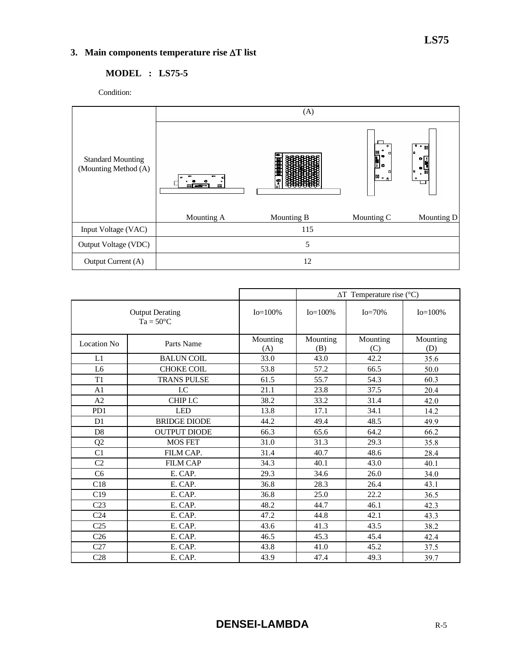# **3. Main components temperature rise** ∆**T list**

# **MODEL : LS75-5**

Condition:



|                                              |                     | $\Delta T$ Temperature rise (°C) |                 |                 |                 |
|----------------------------------------------|---------------------|----------------------------------|-----------------|-----------------|-----------------|
| <b>Output Derating</b><br>$Ta = 50^{\circ}C$ |                     | $Io = 100\%$                     | $Io = 100\%$    | $Io = 70\%$     | $Io = 100\%$    |
| Location No.                                 | Parts Name          | Mounting<br>(A)                  | Mounting<br>(B) | Mounting<br>(C) | Mounting<br>(D) |
| L1                                           | <b>BALUN COIL</b>   | 33.0                             | 43.0            | 42.2            | 35.6            |
| L <sub>6</sub>                               | <b>CHOKE COIL</b>   | 53.8                             | 57.2            | 66.5            | 50.0            |
| T1                                           | <b>TRANS PULSE</b>  | 61.5                             | 55.7            | 54.3            | 60.3            |
| A <sub>1</sub>                               | I.C                 | 21.1                             | 23.8            | 37.5            | 20.4            |
| A2                                           | CHIP I.C            | 38.2                             | 33.2            | 31.4            | 42.0            |
| P <sub>D</sub> 1                             | <b>LED</b>          | 13.8                             | 17.1            | 34.1            | 14.2            |
| D <sub>1</sub>                               | <b>BRIDGE DIODE</b> | 44.2                             | 49.4            | 48.5            | 49.9            |
| D <sub>8</sub>                               | <b>OUTPUT DIODE</b> | 66.3                             | 65.6            | 64.2            | 66.2            |
| Q2                                           | <b>MOS FET</b>      | 31.0                             | 31.3            | 29.3            | 35.8            |
| C1                                           | FILM CAP.           | 31.4                             | 40.7            | 48.6            | 28.4            |
| C <sub>2</sub>                               | <b>FILM CAP</b>     | 34.3                             | 40.1            | 43.0            | 40.1            |
| C <sub>6</sub>                               | E. CAP.             | 29.3                             | 34.6            | 26.0            | 34.0            |
| C18                                          | E. CAP.             | 36.8                             | 28.3            | 26.4            | 43.1            |
| C19                                          | E. CAP.             | 36.8                             | 25.0            | 22.2            | 36.5            |
| C <sub>23</sub>                              | E. CAP.             | 48.2                             | 44.7            | 46.1            | 42.3            |
| C <sub>24</sub>                              | E. CAP.             | 47.2                             | 44.8            | 42.1            | 43.3            |
| C <sub>25</sub>                              | E. CAP.             | 43.6                             | 41.3            | 43.5            | 38.2            |
| C <sub>26</sub>                              | E. CAP.             | 46.5                             | 45.3            | 45.4            | 42.4            |
| C27                                          | E. CAP.             | 43.8                             | 41.0            | 45.2            | 37.5            |
| C <sub>28</sub>                              | E. CAP.             | 43.9                             | 47.4            | 49.3            | 39.7            |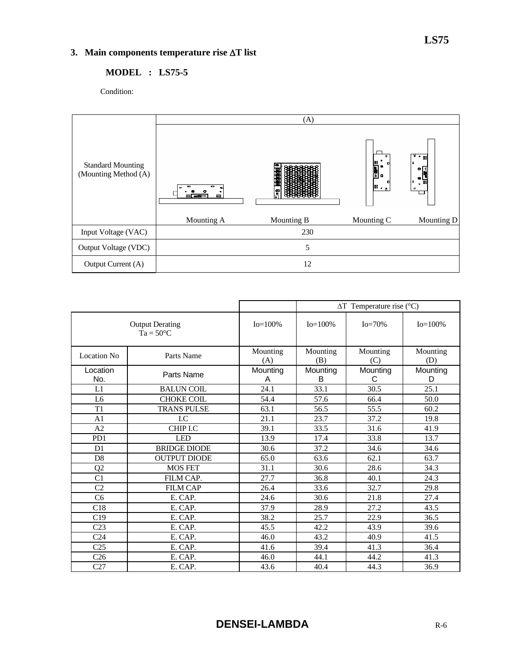# **3. Main components temperature rise** ∆**T list**

## **MODEL : LS75-5**

Condition:



|                                              |                     | $\Delta T$ Temperature rise (°C) |                 |                 |                 |
|----------------------------------------------|---------------------|----------------------------------|-----------------|-----------------|-----------------|
| <b>Output Derating</b><br>$Ta = 50^{\circ}C$ |                     | $Io = 100\%$                     | $Io = 100\%$    | $Io = 70%$      | $Io = 100\%$    |
| Location No.                                 | Parts Name          | Mounting<br>(A)                  | Mounting<br>(B) | Mounting<br>(C) | Mounting<br>(D) |
| Location<br>No.                              | Parts Name          | Mounting<br>A                    | Mounting<br>B   | Mounting<br>С   | Mounting<br>D   |
| L1                                           | <b>BALUN COIL</b>   | 24.1                             | 33.1            | 30.5            | 25.1            |
| L6                                           | CHOKE COIL          | 54.4                             | 57.6            | 66.4            | 50.0            |
| T1                                           | <b>TRANS PULSE</b>  | 63.1                             | 56.5            | 55.5            | 60.2            |
| A <sub>1</sub>                               | $_{\rm LC}$         | 21.1                             | 23.7            | 37.2            | 19.8            |
| A <sub>2</sub>                               | CHIP I.C            | 39.1                             | 33.5            | 31.6            | 41.9            |
| P <sub>D</sub> 1                             | <b>LED</b>          | 13.9                             | 17.4            | 33.8            | 13.7            |
| D <sub>1</sub>                               | <b>BRIDGE DIODE</b> | 30.6                             | 37.2            | 34.6            | 34.6            |
| D <sub>8</sub>                               | <b>OUTPUT DIODE</b> | 65.0                             | 63.6            | 62.1            | 63.7            |
| Q2                                           | <b>MOS FET</b>      | 31.1                             | 30.6            | 28.6            | 34.3            |
| C1                                           | FILM CAP.           | 27.7                             | 36.8            | 40.1            | 24.3            |
| C <sub>2</sub>                               | <b>FILM CAP</b>     | 26.4                             | 33.6            | 32.7            | 29.8            |
| C <sub>6</sub>                               | E. CAP.             | 24.6                             | 30.6            | 21.8            | 27.4            |
| C18                                          | E. CAP.             | 37.9                             | 28.9            | 27.2            | 43.5            |
| C19                                          | E. CAP.             | 38.2                             | 25.7            | 22.9            | 36.5            |
| C <sub>23</sub>                              | E. CAP.             | 45.5                             | 42.2            | 43.9            | 39.6            |
| C <sub>24</sub>                              | E. CAP.             | 46.0                             | 43.2            | 40.9            | 41.5            |
| C <sub>25</sub>                              | E. CAP.             | 41.6                             | 39.4            | 41.3            | 36.4            |
| C <sub>26</sub>                              | E. CAP.             | 46.0                             | 44.1            | 44.2            | 41.3            |
| C27                                          | E. CAP.             | 43.6                             | 40.4            | 44.3            | 36.9            |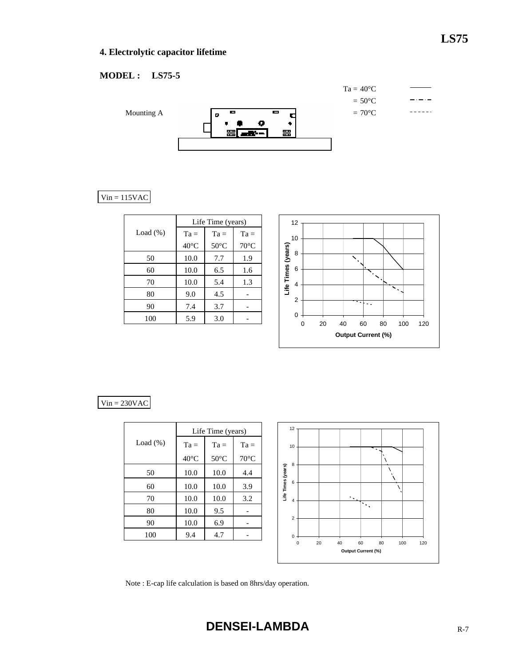# **LS75**

# **4. Electrolytic capacitor lifetime**

# **MODEL : LS75-5**



# $Vin = 115VAC$

|             | Life Time (years) |                |                |  |
|-------------|-------------------|----------------|----------------|--|
| Load $(\%)$ | $Ta =$            | $Ta =$         | $Ta =$         |  |
|             | $40^{\circ}$ C    | $50^{\circ}$ C | $70^{\circ}$ C |  |
| 50          | 10.0              | 7.7            | 1.9            |  |
| 60          | 10.0              | 6.5            | 1.6            |  |
| 70          | 10.0              | 5.4            | 1.3            |  |
| 80          | 9.0               | 4.5            |                |  |
| 90          | 7.4               | 3.7            |                |  |
| 100         | 5.9               | 3.0            |                |  |



#### $Vin = 230VAC$

|             | Life Time (years) |                |                |  |
|-------------|-------------------|----------------|----------------|--|
| Load $(\%)$ | $Ta =$            | $Ta =$         | $Ta =$         |  |
|             | $40^{\circ}$ C    | $50^{\circ}$ C | $70^{\circ}$ C |  |
| 50          | 10.0              | 10.0           | 4.4            |  |
| 60          | 10.0              | 10.0           | 3.9            |  |
| 70          | 10.0              | 10.0           | 3.2            |  |
| 80          | 10.0              | 9.5            |                |  |
| 90          | 10.0              | 6.9            |                |  |
| 100         | 9.4               | 4.7            |                |  |



Note : E-cap life calculation is based on 8hrs/day operation.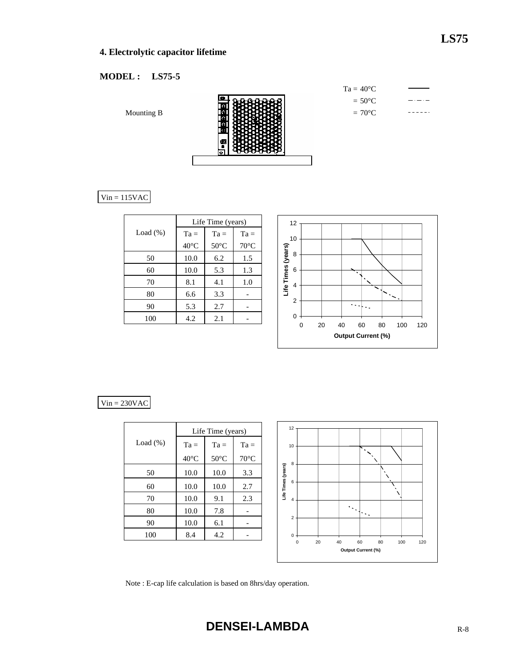# **4. Electrolytic capacitor lifetime**

## **MODEL : LS75-5**

Mounting B

Ţ

| $Ta = 40^{\circ}C$ |
|--------------------|
| $= 50^{\circ}$ C   |
| $=70^{\circ}$ C    |

 $Vin = 115VAC$ 

|             | Life Time (years) |                |                |  |
|-------------|-------------------|----------------|----------------|--|
| Load $(\%)$ | $Ta =$            | $Ta =$         | $Ta =$         |  |
|             | $40^{\circ}$ C    | $50^{\circ}$ C | $70^{\circ}$ C |  |
| 50          | 10.0              | 6.2            | 1.5            |  |
| 60          | 10.0              | 5.3            | 1.3            |  |
| 70          | 8.1               | 4.1            | 1.0            |  |
| 80          | 6.6               | 3.3            |                |  |
| 90          | 5.3               | 2.7            |                |  |
| 100         | 4.2               | 2.1            |                |  |



#### $Vin = 230VAC$

|             | Life Time (years) |                |                |  |  |  |  |  |  |
|-------------|-------------------|----------------|----------------|--|--|--|--|--|--|
| Load $(\%)$ | $Ta =$            | $Ta =$         | $Ta =$         |  |  |  |  |  |  |
|             | $40^{\circ}$ C    | $50^{\circ}$ C | $70^{\circ}$ C |  |  |  |  |  |  |
| 50          | 10.0              | 10.0           | 3.3            |  |  |  |  |  |  |
| 60          | 10.0              | 10.0           | 2.7            |  |  |  |  |  |  |
| 70          | 10.0              | 9.1            | 2.3            |  |  |  |  |  |  |
| 80          | 10.0              | 7.8            |                |  |  |  |  |  |  |
| 90          | 10.0              | 6.1            |                |  |  |  |  |  |  |
| 100         | 8.4               | 4.2            |                |  |  |  |  |  |  |



Note : E-cap life calculation is based on 8hrs/day operation.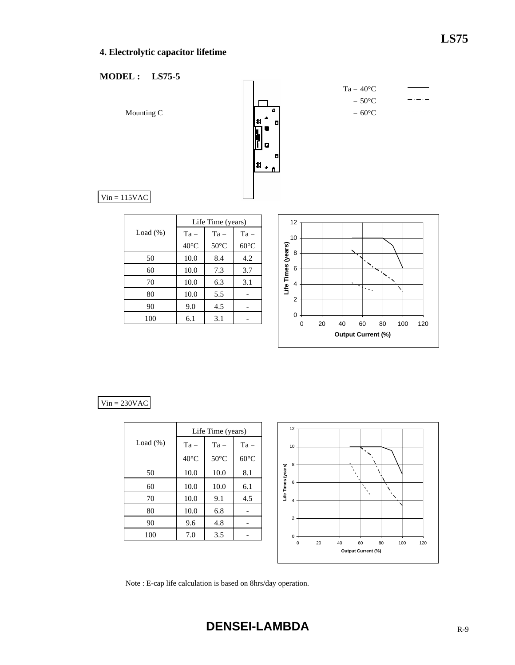# **4. Electrolytic capacitor lifetime**

## **MODEL : LS75-5**



## $Vin = 230VAC$

|             | Life Time (years) |                |                |  |  |  |  |  |  |
|-------------|-------------------|----------------|----------------|--|--|--|--|--|--|
| Load $(\%)$ | $Ta =$            | $Ta =$         | $Ta =$         |  |  |  |  |  |  |
|             | $40^{\circ}$ C    | $50^{\circ}$ C | $60^{\circ}$ C |  |  |  |  |  |  |
| 50          | 10.0              | 10.0           | 8.1            |  |  |  |  |  |  |
| 60          | 10.0              | 10.0           | 6.1            |  |  |  |  |  |  |
| 70          | 10.0              | 9.1            | 4.5            |  |  |  |  |  |  |
| 80          | 10.0              | 6.8            |                |  |  |  |  |  |  |
| 90          | 9.6               | 4.8            |                |  |  |  |  |  |  |
| 100         | 7.0               | 3.5            |                |  |  |  |  |  |  |



Note : E-cap life calculation is based on 8hrs/day operation.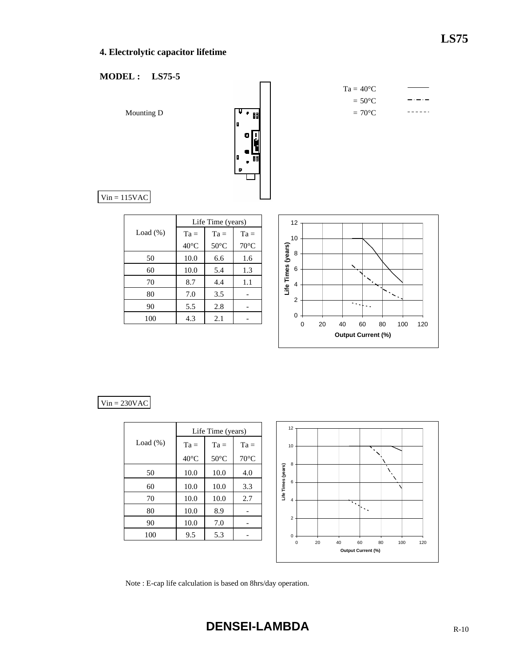# **4. Electrolytic capacitor lifetime**

## **MODEL : LS75-5**



| $Ta = 40^{\circ}C$ |  |
|--------------------|--|
| $= 50^{\circ}$ C   |  |
| $=70^{\circ}$ C    |  |
|                    |  |

 $Vin = 115VAC$ 

|             | Life Time (years) |                |                |  |  |  |  |  |  |
|-------------|-------------------|----------------|----------------|--|--|--|--|--|--|
| Load $(\%)$ | $Ta =$            | $Ta =$         | $Ta =$         |  |  |  |  |  |  |
|             | $40^{\circ}$ C    | $50^{\circ}$ C | $70^{\circ}$ C |  |  |  |  |  |  |
| 50          | 10.0              | 6.6            | 1.6            |  |  |  |  |  |  |
| 60          | 10.0              | 5.4            | 1.3            |  |  |  |  |  |  |
| 70          | 8.7               | 4.4            | 1.1            |  |  |  |  |  |  |
| 80          | 7.0               | 3.5            |                |  |  |  |  |  |  |
| 90          | 5.5               | 2.8            |                |  |  |  |  |  |  |
| 100         | 4.3               | 2.1            |                |  |  |  |  |  |  |



#### $Vin = 230VAC$

|             | Life Time (years) |                |                |  |  |  |  |  |  |
|-------------|-------------------|----------------|----------------|--|--|--|--|--|--|
| Load $(\%)$ | $Ta =$            | $Ta =$         | $Ta =$         |  |  |  |  |  |  |
|             | $40^{\circ}$ C    | $50^{\circ}$ C | $70^{\circ}$ C |  |  |  |  |  |  |
| 50          | 10.0              | 10.0           | 4.0            |  |  |  |  |  |  |
| 60          | 10.0              | 10.0           | 3.3            |  |  |  |  |  |  |
| 70          | 10.0              | 10.0           | 2.7            |  |  |  |  |  |  |
| 80          | 10.0              | 8.9            |                |  |  |  |  |  |  |
| 90          | 10.0              | 7.0            |                |  |  |  |  |  |  |
| 100         | 9.5               | 5.3            |                |  |  |  |  |  |  |



Note : E-cap life calculation is based on 8hrs/day operation.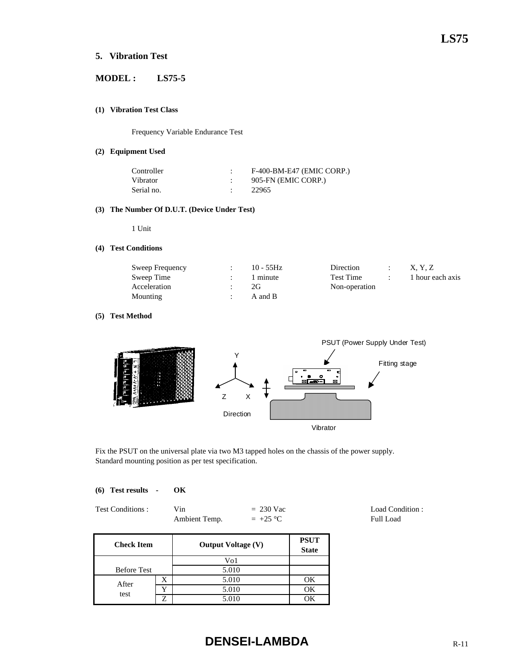## **5. Vibration Test**

## **MODEL : LS75-5**

#### **(1) Vibration Test Class**

Frequency Variable Endurance Test

#### **(2) Equipment Used**

| Controller | F-400-BM-E47 (EMIC CORP.) |
|------------|---------------------------|
| Vibrator   | 905-FN (EMIC CORP.)       |
| Serial no. | 22965                     |

#### **(3) The Number Of D.U.T. (Device Under Test)**

1 Unit

#### **(4) Test Conditions**

| Sweep Frequency | $10 - 55$ Hz | Direction     |  | X. Y. Z          |
|-----------------|--------------|---------------|--|------------------|
| Sweep Time      | 1 minute     | Test Time     |  | 1 hour each axis |
| Acceleration    | 2G           | Non-operation |  |                  |
| Mounting        | A and B      |               |  |                  |

#### **(5) Test Method**



Fix the PSUT on the universal plate via two M3 tapped holes on the chassis of the power supply. Standard mounting position as per test specification.

|  | (6) Test results | OК |
|--|------------------|----|
|  |                  |    |

| Test Conditions: | Vin           | $= 230$ Vac |
|------------------|---------------|-------------|
|                  | Ambient Temp. | $= +25 °C$  |

| <b>Check Item</b>  |   | <b>Output Voltage (V)</b> | <b>PSUT</b><br><b>State</b> |
|--------------------|---|---------------------------|-----------------------------|
|                    |   | $\rm{Vol}$                |                             |
| <b>Before Test</b> |   | 5.010                     |                             |
| After              | X | 5.010                     | ОK                          |
|                    | v | 5.010                     | ОK                          |
| test               | 7 | 5.010                     | VК                          |

# **DENSEI-LAMBDA** R-11

Load Condition : Full Load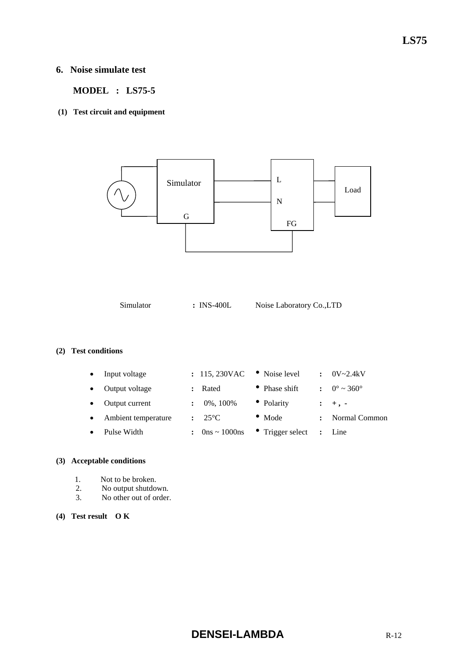## **6. Noise simulate test**

 **MODEL : LS75-5** 

#### **(1) Test circuit and equipment**



Simulator **: INS-400L** Noise Laboratory Co.,LTD

#### **(2) Test conditions**

| Input voltage       | : 115,230VAC                        | • Noise level            | $\ddot{\phantom{a}}$ | 0V~2.4kV               |
|---------------------|-------------------------------------|--------------------------|----------------------|------------------------|
| Output voltage      | Rated                               | • Phase shift            |                      | $\therefore$ 0° ~ 360° |
| Output current      | $0\%, 100\%$                        | • Polarity               |                      | $: +$ , -              |
| Ambient temperature | $-25^{\circ}$ C                     | $\bullet$ Mode           |                      | Normal Common          |
| Pulse Width         | : $0 \text{ns} \sim 1000 \text{ns}$ | $\bullet$ Trigger select |                      | $:$ Line               |
|                     |                                     |                          |                      |                        |

#### **(3) Acceptable conditions**

- 1. Not to be broken.<br>2. No output shutdo
- No output shutdown.
- 3. No other out of order.

#### **(4) Test result O K**

# **DENSEI-LAMBDA R-12**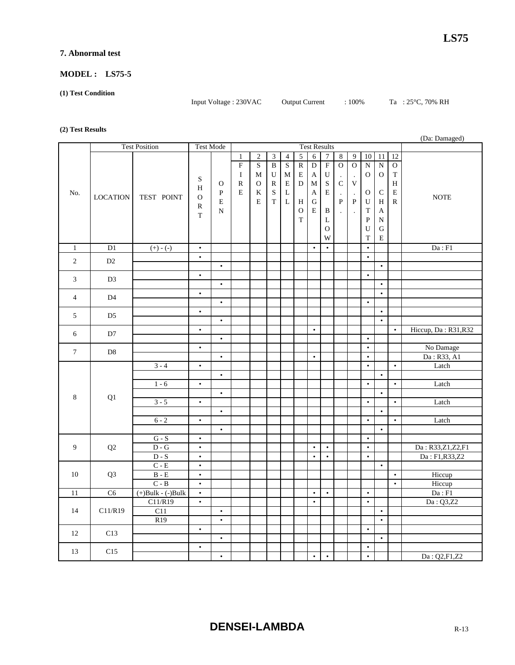#### **7. Abnormal test**

#### **MODEL : LS75-5**

#### **(1) Test Condition**

Input Voltage : 230VAC Output Current : 100% Ta : 25°C, 70% RH

#### **(2) Test Results**

|                | (Da: Damaged)          |                             |                   |               |                |                     |                         |                         |                |                |                |                      |                           |              |                       |                |                            |
|----------------|------------------------|-----------------------------|-------------------|---------------|----------------|---------------------|-------------------------|-------------------------|----------------|----------------|----------------|----------------------|---------------------------|--------------|-----------------------|----------------|----------------------------|
|                |                        | <b>Test Position</b>        | <b>Test Mode</b>  |               |                | <b>Test Results</b> |                         |                         |                |                |                |                      |                           |              |                       |                |                            |
|                |                        |                             |                   |               | $\mathbf{1}$   | $\overline{2}$      | 3                       | $\overline{4}$          | $\overline{5}$ | $\overline{6}$ | $\overline{7}$ | $\sqrt{8}$           | $\overline{9}$            | 10           | $\overline{11}$       | 12             |                            |
|                |                        |                             |                   |               | $\overline{F}$ | $\mathbf S$         | $\overline{\mathbf{B}}$ | $\overline{\mathbf{S}}$ | $\overline{R}$ | $\overline{D}$ | $\overline{F}$ | $\overline{O}$       | $\overline{0}$            | ${\bf N}$    | $\overline{\text{N}}$ | $\overline{O}$ |                            |
|                |                        |                             | S                 |               | $\bf{I}$       | M                   | U                       | М                       | E              | A              | U              | $\blacksquare$       | $\ddot{\phantom{a}}$      | $\mathbf{O}$ | $\mathbf{O}$          | $\mathbf T$    |                            |
|                |                        |                             | H                 | $\mathcal{O}$ | ${\mathbb R}$  | $\mathbf{O}$        | $\mathbb{R}$            | ${\bf E}$               | ${\bf D}$      | $\mathbf M$    | $\mathbf S$    | $\mathsf C$          | $\ensuremath{\mathbf{V}}$ |              |                       | H              |                            |
| No.            |                        | TEST POINT                  |                   | $\mathbf{P}$  | E              | K                   | $\mathbf S$             | $\mathbf L$             |                | A              | $\mathbf E$    | $\cdot$              | $\blacksquare$            | $\mathbf{O}$ | $\mathbf C$           | ${\bf E}$      | <b>NOTE</b>                |
|                | <b>LOCATION</b>        |                             | O                 | $\mathbf E$   |                | E                   | $\rm T$                 | $\overline{\mathbf{L}}$ | H              | ${\bf G}$      |                | $\mathbf{P}$         | $\overline{P}$            | $\mathbf U$  | H                     | $\, {\bf R}$   |                            |
|                |                        |                             | $\mathbb{R}$<br>T | $\mathbf N$   |                |                     |                         |                         | $\mathbf O$    | Е              | B              | $\ddot{\phantom{a}}$ |                           | T            | A                     |                |                            |
|                |                        |                             |                   |               |                |                     |                         |                         | $\mathbf T$    |                | L              |                      |                           | $\mathbf{P}$ | N                     |                |                            |
|                |                        |                             |                   |               |                |                     |                         |                         |                |                | $\mathbf 0$    |                      |                           | U            | ${\bf G}$             |                |                            |
|                |                        |                             |                   |               |                |                     |                         |                         |                |                | W              |                      |                           | T            | E                     |                |                            |
| $\mathbf{1}$   | D1                     | $(+) - (-)$                 | $\bullet$         |               |                |                     |                         |                         |                | $\bullet$      | $\bullet$      |                      |                           | $\bullet$    |                       |                | Da : F1                    |
| 2              | D2                     |                             | $\bullet$         |               |                |                     |                         |                         |                |                |                |                      |                           | $\bullet$    |                       |                |                            |
|                |                        |                             |                   | $\bullet$     |                |                     |                         |                         |                |                |                |                      |                           |              | $\bullet$             |                |                            |
| 3              | D <sub>3</sub>         |                             | $\bullet$         |               |                |                     |                         |                         |                |                |                |                      |                           | $\bullet$    |                       |                |                            |
|                |                        |                             |                   | $\bullet$     |                |                     |                         |                         |                |                |                |                      |                           |              | $\bullet$             |                |                            |
| $\overline{4}$ | D <sub>4</sub>         |                             | $\bullet$         |               |                |                     |                         |                         |                |                |                |                      |                           |              | $\bullet$             |                |                            |
|                |                        |                             |                   | $\bullet$     |                |                     |                         |                         |                |                |                |                      |                           | $\bullet$    | $\bullet$             |                |                            |
| 5              | D <sub>5</sub>         |                             | $\bullet$         | $\bullet$     |                |                     |                         |                         |                |                |                |                      |                           |              | $\bullet$             |                |                            |
|                |                        |                             | $\bullet$         |               |                |                     |                         |                         |                | $\bullet$      |                |                      |                           |              |                       | $\bullet$      |                            |
| 6              | D7                     |                             |                   | $\bullet$     |                |                     |                         |                         |                |                |                |                      |                           | $\bullet$    |                       |                | Hiccup, Da: R31, R32       |
|                |                        |                             | $\bullet$         |               |                |                     |                         |                         |                |                |                |                      |                           | $\bullet$    |                       |                | No Damage                  |
| $\tau$         | D <sub>8</sub>         |                             |                   | $\bullet$     |                |                     |                         |                         |                | $\bullet$      |                |                      |                           | $\bullet$    |                       |                | Da: R33, A1                |
|                |                        | $3 - 4$                     | $\bullet$         |               |                |                     |                         |                         |                |                |                |                      |                           | $\bullet$    |                       | $\bullet$      | Latch                      |
|                |                        |                             |                   | $\bullet$     |                |                     |                         |                         |                |                |                |                      |                           |              | $\bullet$             |                |                            |
|                |                        | $1 - 6$                     | $\bullet$         |               |                |                     |                         |                         |                |                |                |                      |                           | $\bullet$    |                       | $\bullet$      | Latch                      |
|                |                        |                             |                   | $\bullet$     |                |                     |                         |                         |                |                |                |                      |                           |              | $\bullet$             |                |                            |
| 8              | Q1                     | $3 - 5$                     | $\bullet$         |               |                |                     |                         |                         |                |                |                |                      |                           | $\bullet$    |                       | $\bullet$      | Latch                      |
|                |                        |                             |                   | $\bullet$     |                |                     |                         |                         |                |                |                |                      |                           |              | $\bullet$             |                |                            |
|                |                        | $6 - 2$                     | $\bullet$         |               |                |                     |                         |                         |                |                |                |                      |                           | $\bullet$    |                       | $\bullet$      | Latch                      |
|                |                        |                             |                   | $\bullet$     |                |                     |                         |                         |                |                |                |                      |                           |              | $\bullet$             |                |                            |
|                |                        | $G-S$                       | $\bullet$         |               |                |                     |                         |                         |                |                |                |                      |                           | $\bullet$    |                       |                |                            |
| 9              | Q2                     | $\mathbf{D}$ - $\mathbf{G}$ | $\bullet$         |               |                |                     |                         |                         |                | $\bullet$      | $\bullet$      |                      |                           | $\bullet$    |                       |                | Da: R33,Z1,Z2,F1           |
|                |                        | $D-S$                       | $\bullet$         |               |                |                     |                         |                         |                | $\bullet$      | $\bullet$      |                      |                           | $\bullet$    |                       |                | Da: F1,R33,Z2              |
|                |                        | $C - E$                     | $\bullet$         |               |                |                     |                         |                         |                |                |                |                      |                           |              | $\bullet$             |                |                            |
| 10             | Q <sub>3</sub>         | $B - E$                     | $\bullet$         |               |                |                     |                         |                         |                |                |                |                      |                           |              |                       | $\bullet$      | Hiccup                     |
|                |                        | $C - B$                     | $\bullet$         |               |                |                     |                         |                         |                |                |                |                      |                           |              |                       | $\bullet$      | Hiccup                     |
| 11             | $\overline{\text{C6}}$ | $(+)$ Bulk - $(-)$ Bulk     | $\bullet$         |               |                |                     |                         |                         |                | $\bullet$      | $\bullet$      |                      |                           | $\bullet$    |                       |                | $\mathrm{Da}: \mathrm{F1}$ |
|                |                        | C11/R19                     | $\bullet$         |               |                |                     |                         |                         |                | $\bullet$      |                |                      |                           | $\bullet$    |                       |                | Da: Q3,Z2                  |
| 14             | C11/R19                | C11                         |                   | $\bullet$     |                |                     |                         |                         |                |                |                |                      |                           |              | $\bullet$             |                |                            |
|                |                        | R19                         | $\bullet$         | $\bullet$     |                |                     |                         |                         |                |                |                |                      |                           | $\bullet$    | $\bullet$             |                |                            |
| 12             | C13                    |                             |                   | $\bullet$     |                |                     |                         |                         |                |                |                |                      |                           |              | $\bullet$             |                |                            |
|                |                        |                             | $\bullet$         |               |                |                     |                         |                         |                |                |                |                      |                           | $\bullet$    |                       |                |                            |
| 13             | C15                    |                             |                   | $\bullet$     |                |                     |                         |                         |                | $\bullet$      | $\bullet$      |                      |                           | $\bullet$    |                       |                | Da: Q2,F1,Z2               |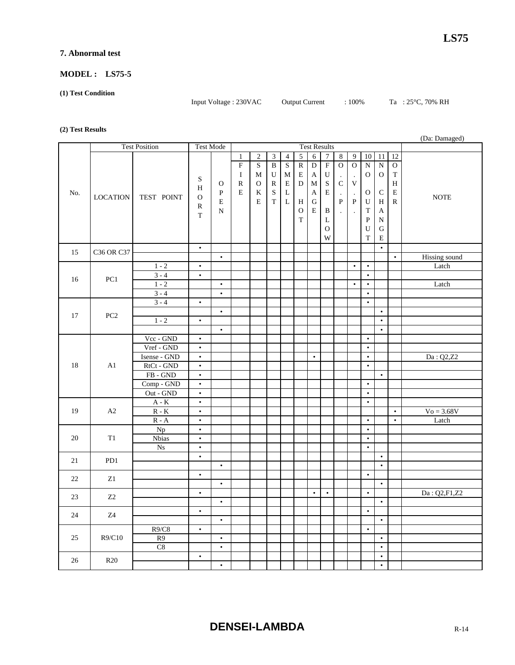#### **7. Abnormal test**

#### **MODEL : LS75-5**

#### **(1) Test Condition**

Input Voltage : 230VAC Output Current : 100% Ta : 25°C, 70% RH

#### **(2) Test Results**

| (Da: Damaged) |                      |                           |                        |                        |                     |                         |                         |                         |                |                |                  |                      |                      |                |                        |             |               |
|---------------|----------------------|---------------------------|------------------------|------------------------|---------------------|-------------------------|-------------------------|-------------------------|----------------|----------------|------------------|----------------------|----------------------|----------------|------------------------|-------------|---------------|
|               | <b>Test Position</b> |                           | <b>Test Mode</b>       |                        | <b>Test Results</b> |                         |                         |                         |                |                |                  |                      |                      |                |                        |             |               |
| No.           |                      |                           |                        |                        | $\mathbf{1}$        | $\overline{c}$          | $\mathfrak{Z}$          | $\overline{4}$          | $\overline{5}$ | 6              | $\boldsymbol{7}$ | $\bf 8$              | 9                    | 10             | 11                     | 12          |               |
|               |                      |                           |                        |                        | $\overline{F}$      | $\overline{\mathbf{S}}$ | $\overline{\mathbf{B}}$ | $\overline{\mathbf{S}}$ | $\overline{R}$ | $\overline{D}$ | $\overline{F}$   | $\overline{0}$       | $\overline{0}$       | $\overline{N}$ | $\overline{N}$         | $\mathbf O$ |               |
|               |                      |                           |                        |                        | $\bf{I}$            | M                       | U                       | M                       | $\mathbf E$    | A              | ${\bf U}$        | $\cdot$              | $\ddot{\phantom{a}}$ | $\mathbf{O}$   | $\mathbf{O}$           | T           |               |
|               |                      |                           | ${\bf S}$              | $\mathbf{O}$           | $\mathbb R$         | $\mathcal O$            | R                       | E                       | ${\bf D}$      | $\mathbf M$    | $\mathbf S$      | $\mathsf C$          | $\mathbf V$          |                |                        | $H_{\rm}$   |               |
|               |                      |                           | H                      | $\mathbf{P}$           | $\mathbf E$         | K                       | $\mathbf S$             | L                       |                | A              | E                | $\cdot$              | $\Box$               | $\mathbf{O}$   | $\mathsf{C}$           | $\mathbf E$ |               |
|               | <b>LOCATION</b>      | TEST POINT                | $\mathbf O$            | $\mathbf E$            |                     | E                       | $\mathbf T$             | $\mathbf L$             | H              | ${\bf G}$      |                  | $\mathbf{P}$         | ${\bf P}$            | U              | $H_{\rm}$              | ${\bf R}$   | <b>NOTE</b>   |
|               |                      |                           | R                      | N                      |                     |                         |                         |                         | $\mathbf{O}$   | $\mathbf E$    | B                | $\ddot{\phantom{0}}$ | $\ddot{\phantom{a}}$ | T              | A                      |             |               |
|               |                      |                           | T                      |                        |                     |                         |                         |                         | $\bar{\rm T}$  |                | L                |                      |                      | ${\bf P}$      | ${\bf N}$              |             |               |
|               |                      |                           |                        |                        |                     |                         |                         |                         |                |                | $\mathbf{O}$     |                      |                      | U              | G                      |             |               |
|               |                      |                           |                        |                        |                     |                         |                         |                         |                |                | W                |                      |                      | T              | ${\bf E}$              |             |               |
|               |                      |                           | $\bullet$              |                        |                     |                         |                         |                         |                |                |                  |                      |                      |                | $\bullet$              |             |               |
| 15            | C36 OR C37           |                           |                        | $\bullet$              |                     |                         |                         |                         |                |                |                  |                      |                      |                |                        | $\bullet$   | Hissing sound |
|               |                      | $1 - 2$                   | $\bullet$              |                        |                     |                         |                         |                         |                |                |                  |                      | $\bullet$            | $\bullet$      |                        |             | Latch         |
| 16            | PC <sub>1</sub>      | $3 - 4$                   | $\bullet$              |                        |                     |                         |                         |                         |                |                |                  |                      |                      | $\bullet$      |                        |             |               |
|               |                      | $1 - 2$                   |                        | $\bullet$              |                     |                         |                         |                         |                |                |                  |                      | $\bullet$            | $\bullet$      |                        |             | Latch         |
|               |                      | $3 - 4$                   |                        | $\bullet$              |                     |                         |                         |                         |                |                |                  |                      |                      | $\bullet$      |                        |             |               |
|               |                      | $3 - 4$                   | $\bullet$              |                        |                     |                         |                         |                         |                |                |                  |                      |                      | $\bullet$      |                        |             |               |
| 17            | PC <sub>2</sub>      |                           |                        | $\bullet$              |                     |                         |                         |                         |                |                |                  |                      |                      |                | $\bullet$              |             |               |
|               |                      | $1 - 2$                   | $\bullet$              |                        |                     |                         |                         |                         |                |                |                  |                      |                      |                | $\bullet$              |             |               |
|               |                      |                           |                        | $\bullet$              |                     |                         |                         |                         |                |                |                  |                      |                      |                | $\bullet$              |             |               |
|               | A1                   | Vcc - GND                 | $\bullet$              |                        |                     |                         |                         |                         |                |                |                  |                      |                      | $\bullet$      |                        |             |               |
|               |                      | Vref - GND                | $\bullet$              |                        |                     |                         |                         |                         |                |                |                  |                      |                      | $\bullet$      |                        |             |               |
|               |                      | Isense - GND              | $\bullet$              |                        |                     |                         |                         |                         |                | $\bullet$      |                  |                      |                      | $\bullet$      |                        |             | Da: Q2,Z2     |
| 18            |                      | RtCt - GND                | $\bullet$              |                        |                     |                         |                         |                         |                |                |                  |                      |                      | $\bullet$      |                        |             |               |
|               |                      | FB-GND<br>Comp - GND      | $\bullet$<br>$\bullet$ |                        |                     |                         |                         |                         |                |                |                  |                      |                      | $\bullet$      | $\bullet$              |             |               |
|               |                      | Out - GND                 | $\bullet$              |                        |                     |                         |                         |                         |                |                |                  |                      |                      | $\bullet$      |                        |             |               |
|               | A2                   | $A - K$                   | $\bullet$              |                        |                     |                         |                         |                         |                |                |                  |                      |                      | $\bullet$      |                        |             |               |
| 19            |                      | $R - K$                   | $\bullet$              |                        |                     |                         |                         |                         |                |                |                  |                      |                      |                |                        | $\bullet$   | $V_0 = 3.68V$ |
|               |                      | $\mathbb R$ - $\mathbb A$ | $\bullet$              |                        |                     |                         |                         |                         |                |                |                  |                      |                      | $\bullet$      |                        | $\bullet$   | Latch         |
|               | T1                   | Np                        | $\bullet$              |                        |                     |                         |                         |                         |                |                |                  |                      |                      | $\bullet$      |                        |             |               |
| 20            |                      | <b>Nbias</b>              | $\bullet$              |                        |                     |                         |                         |                         |                |                |                  |                      |                      | $\bullet$      |                        |             |               |
|               |                      | N <sub>S</sub>            | $\bullet$              |                        |                     |                         |                         |                         |                |                |                  |                      |                      | $\bullet$      |                        |             |               |
| 21            | PD1                  |                           | $\bullet$              |                        |                     |                         |                         |                         |                |                |                  |                      |                      |                | $\bullet$              |             |               |
|               |                      |                           |                        | $\bullet$              |                     |                         |                         |                         |                |                |                  |                      |                      |                | $\bullet$              |             |               |
| 22            | Z1                   |                           | $\bullet$              |                        |                     |                         |                         |                         |                |                |                  |                      |                      | $\bullet$      |                        |             |               |
|               |                      |                           |                        | $\bullet$              |                     |                         |                         |                         |                |                |                  |                      |                      |                | $\bullet$              |             |               |
| 23            | Z2                   |                           | $\bullet$              |                        |                     |                         |                         |                         |                | $\bullet$      | $\bullet$        |                      |                      | $\bullet$      |                        |             | Da: Q2,F1,Z2  |
|               |                      |                           |                        | $\bullet$              |                     |                         |                         |                         |                |                |                  |                      |                      |                | $\bullet$              |             |               |
| 24            | Z4                   |                           | $\bullet$              |                        |                     |                         |                         |                         |                |                |                  |                      |                      | $\bullet$      |                        |             |               |
|               |                      |                           |                        | $\bullet$              |                     |                         |                         |                         |                |                |                  |                      |                      |                | $\bullet$              |             |               |
| 25            | R9/C10               | R9/C8<br>R9               | $\bullet$              |                        |                     |                         |                         |                         |                |                |                  |                      |                      | $\bullet$      |                        |             |               |
|               |                      |                           |                        | $\bullet$<br>$\bullet$ |                     |                         |                         |                         |                |                |                  |                      |                      |                | $\bullet$<br>$\bullet$ |             |               |
|               |                      | $\mbox{C}8$               | $\bullet$              |                        |                     |                         |                         |                         |                |                |                  |                      |                      |                | $\bullet$              |             |               |
| 26            | R20                  |                           |                        | $\bullet$              |                     |                         |                         |                         |                |                |                  |                      |                      |                | $\bullet$              |             |               |
|               |                      |                           |                        |                        |                     |                         |                         |                         |                |                |                  |                      |                      |                |                        |             |               |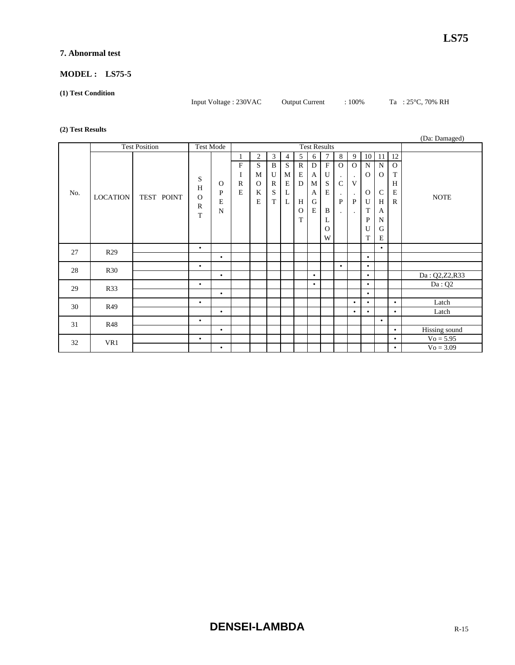#### **7. Abnormal test**

#### **MODEL : LS75-5**

#### **(1) Test Condition**

Input Voltage : 230VAC Output Current : 100% Ta : 25°C, 70% RH

#### **(2) Test Results**

|     |                      |            |                                         |                                              |                                                     |                                                |                                                            |                            |                                                             |                                                            |                                                                               |                                          |                                                                                     |                                                                                       |                                                                       |                                                                   | (Da: Damaged) |
|-----|----------------------|------------|-----------------------------------------|----------------------------------------------|-----------------------------------------------------|------------------------------------------------|------------------------------------------------------------|----------------------------|-------------------------------------------------------------|------------------------------------------------------------|-------------------------------------------------------------------------------|------------------------------------------|-------------------------------------------------------------------------------------|---------------------------------------------------------------------------------------|-----------------------------------------------------------------------|-------------------------------------------------------------------|---------------|
|     | <b>Test Position</b> |            | <b>Test Mode</b>                        |                                              | <b>Test Results</b>                                 |                                                |                                                            |                            |                                                             |                                                            |                                                                               |                                          |                                                                                     |                                                                                       |                                                                       |                                                                   |               |
| No. | <b>LOCATION</b>      | TEST POINT | S<br>H<br>$\Omega$<br>$\mathbb{R}$<br>T | $\Omega$<br>$\mathbf{P}$<br>E<br>$\mathbf N$ | ${\rm F}$<br>$\bf I$<br>$\mathbb{R}$<br>$\mathbf E$ | $\overline{2}$<br>S<br>M<br>$\Omega$<br>K<br>E | 3<br>$\mathbf{B}$<br>U<br>$\mathbb{R}$<br>S<br>$\mathbf T$ | 4<br>S<br>M<br>E<br>L<br>L | 5<br>$\mathbb{R}$<br>E<br>$\mathbf D$<br>H<br>$\Omega$<br>T | 6<br>${\bf D}$<br>$\mathbf{A}$<br>M<br>A<br>${\bf G}$<br>E | $\overline{7}$<br>$\rm F$<br>$\mathbf U$<br>S<br>E<br>B<br>L<br>$\Omega$<br>W | 8<br>$\overline{O}$<br>$\mathsf{C}$<br>P | 9<br>$\Omega$<br>$\blacksquare$<br>V<br>$\bullet$<br>$\mathbf{P}$<br>$\blacksquare$ | 10<br>N<br>$\mathbf{O}$<br>$\mathbf{O}$<br>$\mathbf U$<br>T<br>$\mathbf{P}$<br>U<br>T | 11<br>$\mathbf N$<br>$\Omega$<br>$\mathbf C$<br>H<br>A<br>N<br>G<br>E | 12<br>$\Omega$<br>$\mathbf T$<br>H<br>$\mathbf E$<br>$\mathbb{R}$ | <b>NOTE</b>   |
| 27  | R <sub>29</sub>      |            | $\bullet$                               |                                              |                                                     |                                                |                                                            |                            |                                                             |                                                            |                                                                               |                                          |                                                                                     |                                                                                       | $\bullet$                                                             |                                                                   |               |
|     |                      |            |                                         | $\bullet$                                    |                                                     |                                                |                                                            |                            |                                                             |                                                            |                                                                               |                                          |                                                                                     | $\bullet$                                                                             |                                                                       |                                                                   |               |
| 28  | <b>R30</b>           |            | $\bullet$                               |                                              |                                                     |                                                |                                                            |                            |                                                             |                                                            |                                                                               | $\bullet$                                |                                                                                     | $\bullet$                                                                             |                                                                       |                                                                   |               |
|     |                      |            |                                         | $\bullet$                                    |                                                     |                                                |                                                            |                            |                                                             | $\bullet$                                                  |                                                                               |                                          |                                                                                     | $\bullet$                                                                             |                                                                       |                                                                   | Da: Q2,Z2,R33 |
| 29  | <b>R33</b>           |            | $\bullet$                               |                                              |                                                     |                                                |                                                            |                            |                                                             | $\bullet$                                                  |                                                                               |                                          |                                                                                     | $\bullet$                                                                             |                                                                       |                                                                   | Da:Q2         |
|     |                      |            |                                         | $\bullet$                                    |                                                     |                                                |                                                            |                            |                                                             |                                                            |                                                                               |                                          |                                                                                     | $\bullet$                                                                             |                                                                       |                                                                   |               |
| 30  | R49                  |            | $\bullet$                               |                                              |                                                     |                                                |                                                            |                            |                                                             |                                                            |                                                                               |                                          | $\bullet$                                                                           | $\bullet$                                                                             |                                                                       | $\bullet$                                                         | Latch         |
|     |                      |            |                                         | $\bullet$                                    |                                                     |                                                |                                                            |                            |                                                             |                                                            |                                                                               |                                          | $\bullet$                                                                           | ٠                                                                                     |                                                                       | $\bullet$                                                         | Latch         |
| 31  | <b>R48</b>           |            | $\bullet$                               |                                              |                                                     |                                                |                                                            |                            |                                                             |                                                            |                                                                               |                                          |                                                                                     |                                                                                       | $\bullet$                                                             |                                                                   |               |
|     |                      |            |                                         | $\bullet$                                    |                                                     |                                                |                                                            |                            |                                                             |                                                            |                                                                               |                                          |                                                                                     |                                                                                       |                                                                       | $\bullet$                                                         | Hissing sound |
| 32  | VR1                  |            | $\bullet$                               |                                              |                                                     |                                                |                                                            |                            |                                                             |                                                            |                                                                               |                                          |                                                                                     |                                                                                       |                                                                       | $\bullet$                                                         | $Vo = 5.95$   |
|     |                      |            |                                         | $\bullet$                                    |                                                     |                                                |                                                            |                            |                                                             |                                                            |                                                                               |                                          |                                                                                     |                                                                                       |                                                                       | $\bullet$                                                         | $V_0 = 3.09$  |